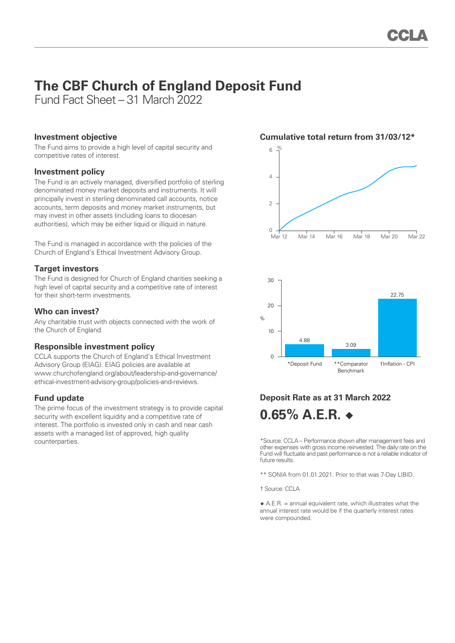# **The CBF Church of England Deposit Fund**

Fund Fact Sheet – 31 March 2022

#### **Investment objective**

The Fund aims to provide a high level of capital security and competitive rates of interest.

## **Investment policy**

The Fund is an actively managed, diversified portfolio of sterling denominated money market deposits and instruments. It will principally invest in sterling denominated call accounts, notice accounts, term deposits and money market instruments, but may invest in other assets (including loans to diocesan authorities), which may be either liquid or illiquid in nature.

The Fund is managed in accordance with the policies of the Church of England's Ethical Investment Advisory Group.

## **Target investors**

The Fund is designed for Church of England charities seeking a high level of capital security and a competitive rate of interest for their short-term investments.

## **Who can invest?**

Any charitable trust with objects connected with the work of the Church of England.

# **Responsible investment policy**

CCLA supports the Church of England's Ethical Investment Advisory Group (EIAG). EIAG policies are available at www.churchofengland.org/about/leadership-and-governance/ ethical-investment-advisory-group/policies-and-reviews.

# **Fund update**

The prime focus of the investment strategy is to provide capital security with excellent liquidity and a competitive rate of interest. The portfolio is invested only in cash and near cash assets with a managed list of approved, high quality counterparties.





# **Deposit Rate as at 31 March 2022 0.65% A.E.R. ◆**

\*Source: CCLA – Performance shown after management fees and other expenses with gross income reinvested. The daily rate on the Fund will fluctuate and past performance is not a reliable indicator of future results.

\*\* SONIA from 01.01.2021. Prior to that was 7-Day LIBID.

† Source: CCLA

 $\triangle$  A.E.R. = annual equivalent rate, which illustrates what the annual interest rate would be if the quarterly interest rates were compounded.

#### **Cumulative total return from 31/03/12\***